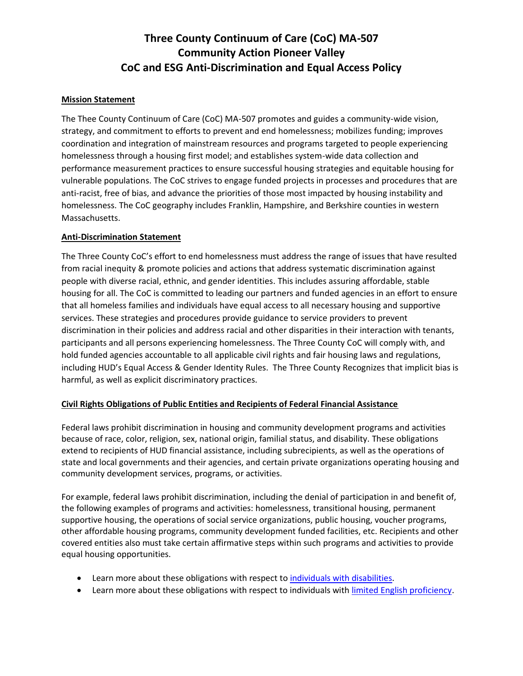## **Three County Continuum of Care (CoC) MA-507 Community Action Pioneer Valley CoC and ESG Anti-Discrimination and Equal Access Policy**

### **Mission Statement**

The Thee County Continuum of Care (CoC) MA-507 promotes and guides a community-wide vision, strategy, and commitment to efforts to prevent and end homelessness; mobilizes funding; improves coordination and integration of mainstream resources and programs targeted to people experiencing homelessness through a housing first model; and establishes system-wide data collection and performance measurement practices to ensure successful housing strategies and equitable housing for vulnerable populations. The CoC strives to engage funded projects in processes and procedures that are anti-racist, free of bias, and advance the priorities of those most impacted by housing instability and homelessness. The CoC geography includes Franklin, Hampshire, and Berkshire counties in western Massachusetts.

### **Anti-Discrimination Statement**

The Three County CoC's effort to end homelessness must address the range of issues that have resulted from racial inequity & promote policies and actions that address systematic discrimination against people with diverse racial, ethnic, and gender identities. This includes assuring affordable, stable housing for all. The CoC is committed to leading our partners and funded agencies in an effort to ensure that all homeless families and individuals have equal access to all necessary housing and supportive services. These strategies and procedures provide guidance to service providers to prevent discrimination in their policies and address racial and other disparities in their interaction with tenants, participants and all persons experiencing homelessness. The Three County CoC will comply with, and hold funded agencies accountable to all applicable civil rights and fair housing laws and regulations, including HUD's Equal Access & Gender Identity Rules. The Three County Recognizes that implicit bias is harmful, as well as explicit discriminatory practices.

### **Civil Rights Obligations of Public Entities and Recipients of Federal Financial Assistance**

Federal laws prohibit discrimination in housing and community development programs and activities because of race, color, religion, sex, national origin, familial status, and disability. These obligations extend to recipients of HUD financial assistance, including subrecipients, as well as the operations of state and local governments and their agencies, and certain private organizations operating housing and community development services, programs, or activities.

For example, federal laws prohibit discrimination, including the denial of participation in and benefit of, the following examples of programs and activities: homelessness, transitional housing, permanent supportive housing, the operations of social service organizations, public housing, voucher programs, other affordable housing programs, community development funded facilities, etc. Recipients and other covered entities also must take certain affirmative steps within such programs and activities to provide equal housing opportunities.

- Learn more about these obligations with respect t[o individuals with disabilities.](https://www.hud.gov/program_offices/fair_housing_equal_opp/disability_main)
- Learn more about these obligations with respect to individuals with [limited English proficiency.](https://www.hud.gov/program_offices/fair_housing_equal_opp/limited_english_proficiency_0)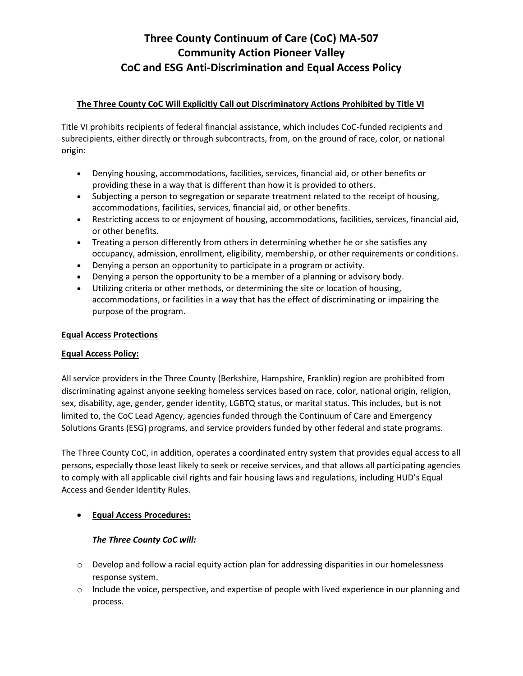## **Three County Continuum of Care (CoC) MA-507 Community Action Pioneer Valley CoC and ESG Anti-Discrimination and Equal Access Policy**

### **The Three County CoC Will Explicitly Call out Discriminatory Actions Prohibited by Title VI**

Title VI prohibits recipients of federal financial assistance, which includes CoC-funded recipients and subrecipients, either directly or through subcontracts, from, on the ground of race, color, or national origin:

- Denying housing, accommodations, facilities, services, financial aid, or other benefits or providing these in a way that is different than how it is provided to others.
- Subjecting a person to segregation or separate treatment related to the receipt of housing, accommodations, facilities, services, financial aid, or other benefits.
- Restricting access to or enjoyment of housing, accommodations, facilities, services, financial aid, or other benefits.
- Treating a person differently from others in determining whether he or she satisfies any occupancy, admission, enrollment, eligibility, membership, or other requirements or conditions.
- Denying a person an opportunity to participate in a program or activity.
- Denying a person the opportunity to be a member of a planning or advisory body.
- Utilizing criteria or other methods, or determining the site or location of housing, accommodations, or facilities in a way that has the effect of discriminating or impairing the purpose of the program.

#### **Equal Access Protections**

#### **Equal Access Policy:**

All service providers in the Three County (Berkshire, Hampshire, Franklin) region are prohibited from discriminating against anyone seeking homeless services based on race, color, national origin, religion, sex, disability, age, gender, gender identity, LGBTQ status, or marital status. This includes, but is not limited to, the CoC Lead Agency, agencies funded through the Continuum of Care and Emergency Solutions Grants (ESG) programs, and service providers funded by other federal and state programs.

The Three County CoC, in addition, operates a coordinated entry system that provides equal access to all persons, especially those least likely to seek or receive services, and that allows all participating agencies to comply with all applicable civil rights and fair housing laws and regulations, including HUD's Equal Access and Gender Identity Rules.

### • **Equal Access Procedures:**

### *The Three County CoC will:*

- $\circ$  Develop and follow a racial equity action plan for addressing disparities in our homelessness response system.
- $\circ$  Include the voice, perspective, and expertise of people with lived experience in our planning and process.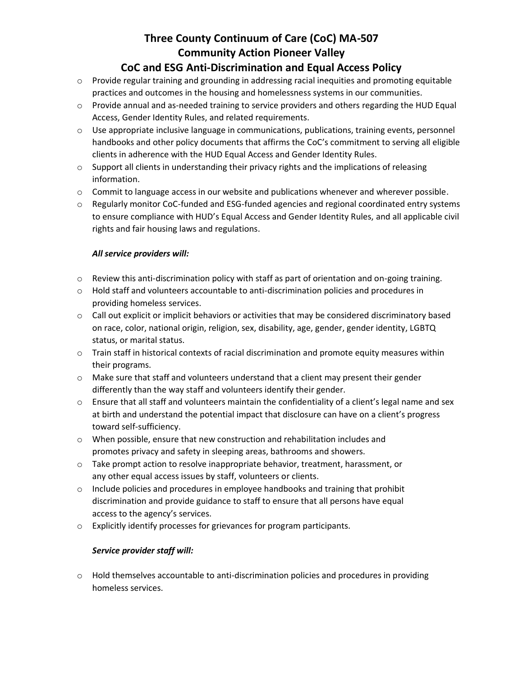# **Three County Continuum of Care (CoC) MA-507 Community Action Pioneer Valley**

### **CoC and ESG Anti-Discrimination and Equal Access Policy**

- o Provide regular training and grounding in addressing racial inequities and promoting equitable practices and outcomes in the housing and homelessness systems in our communities.
- $\circ$  Provide annual and as-needed training to service providers and others regarding the HUD Equal Access, Gender Identity Rules, and related requirements.
- $\circ$  Use appropriate inclusive language in communications, publications, training events, personnel handbooks and other policy documents that affirms the CoC's commitment to serving all eligible clients in adherence with the HUD Equal Access and Gender Identity Rules.
- $\circ$  Support all clients in understanding their privacy rights and the implications of releasing information.
- $\circ$  Commit to language access in our website and publications whenever and wherever possible.
- $\circ$  Regularly monitor CoC-funded and ESG-funded agencies and regional coordinated entry systems to ensure compliance with HUD's Equal Access and Gender Identity Rules, and all applicable civil rights and fair housing laws and regulations.

### *All service providers will:*

- o Review this anti-discrimination policy with staff as part of orientation and on-going training.
- o Hold staff and volunteers accountable to anti-discrimination policies and procedures in providing homeless services.
- $\circ$  Call out explicit or implicit behaviors or activities that may be considered discriminatory based on race, color, national origin, religion, sex, disability, age, gender, gender identity, LGBTQ status, or marital status.
- o Train staff in historical contexts of racial discrimination and promote equity measures within their programs.
- o Make sure that staff and volunteers understand that a client may present their gender differently than the way staff and volunteers identify their gender.
- $\circ$  Ensure that all staff and volunteers maintain the confidentiality of a client's legal name and sex at birth and understand the potential impact that disclosure can have on a client's progress toward self-sufficiency.
- $\circ$  When possible, ensure that new construction and rehabilitation includes and promotes privacy and safety in sleeping areas, bathrooms and showers.
- o Take prompt action to resolve inappropriate behavior, treatment, harassment, or any other equal access issues by staff, volunteers or clients.
- $\circ$  Include policies and procedures in employee handbooks and training that prohibit discrimination and provide guidance to staff to ensure that all persons have equal access to the agency's services.
- o Explicitly identify processes for grievances for program participants.

### *Service provider staff will:*

o Hold themselves accountable to anti-discrimination policies and procedures in providing homeless services.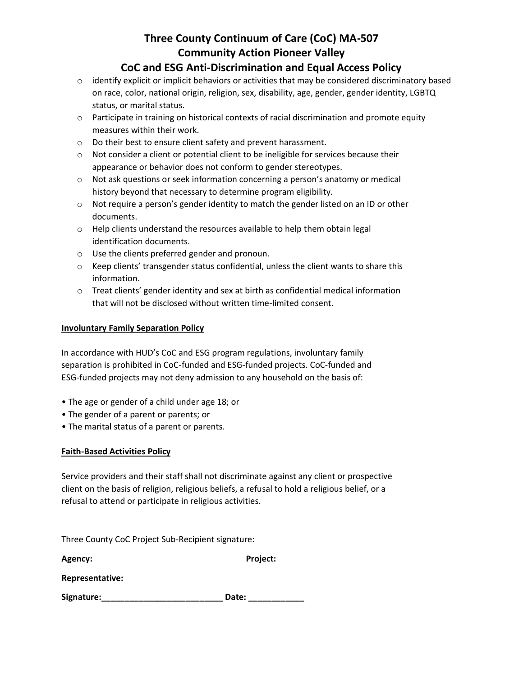# **Three County Continuum of Care (CoC) MA-507 Community Action Pioneer Valley**

### **CoC and ESG Anti-Discrimination and Equal Access Policy**

- o identify explicit or implicit behaviors or activities that may be considered discriminatory based on race, color, national origin, religion, sex, disability, age, gender, gender identity, LGBTQ status, or marital status.
- $\circ$  Participate in training on historical contexts of racial discrimination and promote equity measures within their work.
- o Do their best to ensure client safety and prevent harassment.
- $\circ$  Not consider a client or potential client to be ineligible for services because their appearance or behavior does not conform to gender stereotypes.
- $\circ$  Not ask questions or seek information concerning a person's anatomy or medical history beyond that necessary to determine program eligibility.
- $\circ$  Not require a person's gender identity to match the gender listed on an ID or other documents.
- o Help clients understand the resources available to help them obtain legal identification documents.
- o Use the clients preferred gender and pronoun.
- $\circ$  Keep clients' transgender status confidential, unless the client wants to share this information.
- o Treat clients' gender identity and sex at birth as confidential medical information that will not be disclosed without written time-limited consent.

### **Involuntary Family Separation Policy**

In accordance with HUD's CoC and ESG program regulations, involuntary family separation is prohibited in CoC-funded and ESG-funded projects. CoC-funded and ESG-funded projects may not deny admission to any household on the basis of:

- The age or gender of a child under age 18; or
- The gender of a parent or parents; or
- The marital status of a parent or parents.

### **Faith-Based Activities Policy**

Service providers and their staff shall not discriminate against any client or prospective client on the basis of religion, religious beliefs, a refusal to hold a religious belief, or a refusal to attend or participate in religious activities.

Three County CoC Project Sub-Recipient signature:

**Agency: Project:**

**Representative:**

**Signature:\_\_\_\_\_\_\_\_\_\_\_\_\_\_\_\_\_\_\_\_\_\_\_\_\_\_ Date: \_\_\_\_\_\_\_\_\_\_\_\_**